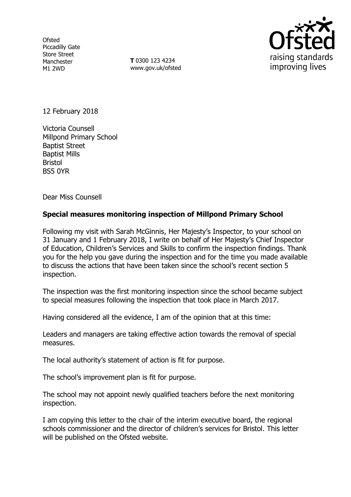**Ofsted** Piccadilly Gate Store Street Manchester M1 2WD

**T** 0300 123 4234 www.gov.uk/ofsted



12 February 2018

Victoria Counsell Millpond Primary School Baptist Street Baptist Mills Bristol BS5 0YR

Dear Miss Counsell

# **Special measures monitoring inspection of Millpond Primary School**

Following my visit with Sarah McGinnis, Her Majesty's Inspector, to your school on 31 January and 1 February 2018, I write on behalf of Her Majesty's Chief Inspector of Education, Children's Services and Skills to confirm the inspection findings. Thank you for the help you gave during the inspection and for the time you made available to discuss the actions that have been taken since the school's recent section 5 inspection.

The inspection was the first monitoring inspection since the school became subject to special measures following the inspection that took place in March 2017.

Having considered all the evidence, I am of the opinion that at this time:

Leaders and managers are taking effective action towards the removal of special measures.

The local authority's statement of action is fit for purpose.

The school's improvement plan is fit for purpose.

The school may not appoint newly qualified teachers before the next monitoring inspection.

I am copying this letter to the chair of the interim executive board, the regional schools commissioner and the director of children's services for Bristol. This letter will be published on the Ofsted website.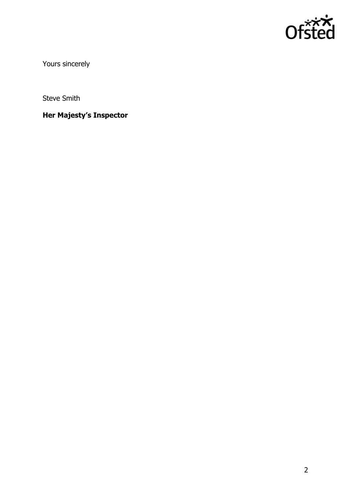

Yours sincerely

Steve Smith

**Her Majesty's Inspector**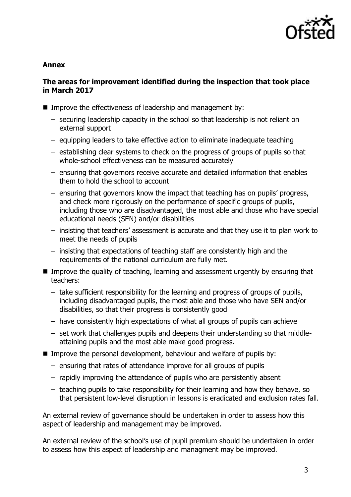

#### **Annex**

## **The areas for improvement identified during the inspection that took place in March 2017**

- Improve the effectiveness of leadership and management by:
	- securing leadership capacity in the school so that leadership is not reliant on external support
	- equipping leaders to take effective action to eliminate inadequate teaching
	- establishing clear systems to check on the progress of groups of pupils so that whole-school effectiveness can be measured accurately
	- ensuring that governors receive accurate and detailed information that enables them to hold the school to account
	- ensuring that governors know the impact that teaching has on pupils' progress, and check more rigorously on the performance of specific groups of pupils, including those who are disadvantaged, the most able and those who have special educational needs (SEN) and/or disabilities
	- insisting that teachers' assessment is accurate and that they use it to plan work to meet the needs of pupils
	- insisting that expectations of teaching staff are consistently high and the requirements of the national curriculum are fully met.
- **IMPROVE the quality of teaching, learning and assessment urgently by ensuring that** teachers:
	- take sufficient responsibility for the learning and progress of groups of pupils, including disadvantaged pupils, the most able and those who have SEN and/or disabilities, so that their progress is consistently good
	- have consistently high expectations of what all groups of pupils can achieve
	- set work that challenges pupils and deepens their understanding so that middleattaining pupils and the most able make good progress.
- Improve the personal development, behaviour and welfare of pupils by:
	- ensuring that rates of attendance improve for all groups of pupils
	- rapidly improving the attendance of pupils who are persistently absent
	- teaching pupils to take responsibility for their learning and how they behave, so that persistent low-level disruption in lessons is eradicated and exclusion rates fall.

An external review of governance should be undertaken in order to assess how this aspect of leadership and management may be improved.

An external review of the school's use of pupil premium should be undertaken in order to assess how this aspect of leadership and managment may be improved.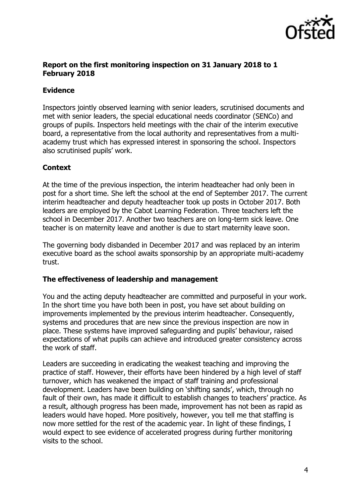

## **Report on the first monitoring inspection on 31 January 2018 to 1 February 2018**

## **Evidence**

Inspectors jointly observed learning with senior leaders, scrutinised documents and met with senior leaders, the special educational needs coordinator (SENCo) and groups of pupils. Inspectors held meetings with the chair of the interim executive board, a representative from the local authority and representatives from a multiacademy trust which has expressed interest in sponsoring the school. Inspectors also scrutinised pupils' work.

# **Context**

At the time of the previous inspection, the interim headteacher had only been in post for a short time. She left the school at the end of September 2017. The current interim headteacher and deputy headteacher took up posts in October 2017. Both leaders are employed by the Cabot Learning Federation. Three teachers left the school in December 2017. Another two teachers are on long-term sick leave. One teacher is on maternity leave and another is due to start maternity leave soon.

The governing body disbanded in December 2017 and was replaced by an interim executive board as the school awaits sponsorship by an appropriate multi-academy trust.

## **The effectiveness of leadership and management**

You and the acting deputy headteacher are committed and purposeful in your work. In the short time you have both been in post, you have set about building on improvements implemented by the previous interim headteacher. Consequently, systems and procedures that are new since the previous inspection are now in place. These systems have improved safeguarding and pupils' behaviour, raised expectations of what pupils can achieve and introduced greater consistency across the work of staff.

Leaders are succeeding in eradicating the weakest teaching and improving the practice of staff. However, their efforts have been hindered by a high level of staff turnover, which has weakened the impact of staff training and professional development. Leaders have been building on 'shifting sands', which, through no fault of their own, has made it difficult to establish changes to teachers' practice. As a result, although progress has been made, improvement has not been as rapid as leaders would have hoped. More positively, however, you tell me that staffing is now more settled for the rest of the academic year. In light of these findings, I would expect to see evidence of accelerated progress during further monitoring visits to the school.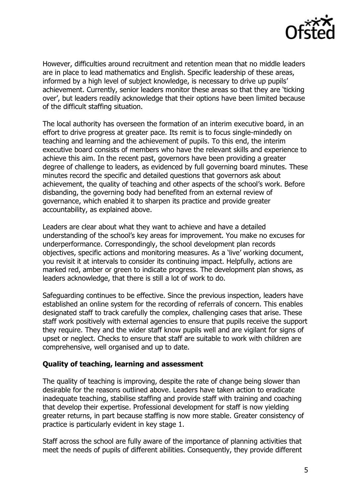

However, difficulties around recruitment and retention mean that no middle leaders are in place to lead mathematics and English. Specific leadership of these areas, informed by a high level of subject knowledge, is necessary to drive up pupils' achievement. Currently, senior leaders monitor these areas so that they are 'ticking over', but leaders readily acknowledge that their options have been limited because of the difficult staffing situation.

The local authority has overseen the formation of an interim executive board, in an effort to drive progress at greater pace. Its remit is to focus single-mindedly on teaching and learning and the achievement of pupils. To this end, the interim executive board consists of members who have the relevant skills and experience to achieve this aim. In the recent past, governors have been providing a greater degree of challenge to leaders, as evidenced by full governing board minutes. These minutes record the specific and detailed questions that governors ask about achievement, the quality of teaching and other aspects of the school's work. Before disbanding, the governing body had benefited from an external review of governance, which enabled it to sharpen its practice and provide greater accountability, as explained above.

Leaders are clear about what they want to achieve and have a detailed understanding of the school's key areas for improvement. You make no excuses for underperformance. Correspondingly, the school development plan records objectives, specific actions and monitoring measures. As a 'live' working document, you revisit it at intervals to consider its continuing impact. Helpfully, actions are marked red, amber or green to indicate progress. The development plan shows, as leaders acknowledge, that there is still a lot of work to do.

Safeguarding continues to be effective. Since the previous inspection, leaders have established an online system for the recording of referrals of concern. This enables designated staff to track carefully the complex, challenging cases that arise. These staff work positively with external agencies to ensure that pupils receive the support they require. They and the wider staff know pupils well and are vigilant for signs of upset or neglect. Checks to ensure that staff are suitable to work with children are comprehensive, well organised and up to date.

#### **Quality of teaching, learning and assessment**

The quality of teaching is improving, despite the rate of change being slower than desirable for the reasons outlined above. Leaders have taken action to eradicate inadequate teaching, stabilise staffing and provide staff with training and coaching that develop their expertise. Professional development for staff is now yielding greater returns, in part because staffing is now more stable. Greater consistency of practice is particularly evident in key stage 1.

Staff across the school are fully aware of the importance of planning activities that meet the needs of pupils of different abilities. Consequently, they provide different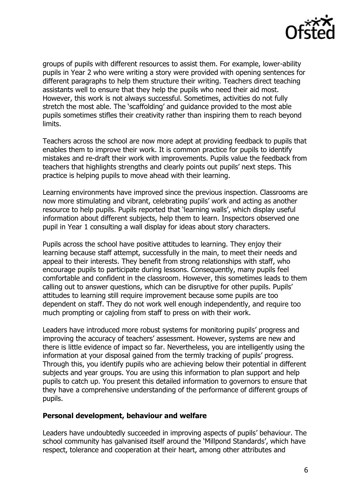

groups of pupils with different resources to assist them. For example, lower-ability pupils in Year 2 who were writing a story were provided with opening sentences for different paragraphs to help them structure their writing. Teachers direct teaching assistants well to ensure that they help the pupils who need their aid most. However, this work is not always successful. Sometimes, activities do not fully stretch the most able. The 'scaffolding' and guidance provided to the most able pupils sometimes stifles their creativity rather than inspiring them to reach beyond limits.

Teachers across the school are now more adept at providing feedback to pupils that enables them to improve their work. It is common practice for pupils to identify mistakes and re-draft their work with improvements. Pupils value the feedback from teachers that highlights strengths and clearly points out pupils' next steps. This practice is helping pupils to move ahead with their learning.

Learning environments have improved since the previous inspection. Classrooms are now more stimulating and vibrant, celebrating pupils' work and acting as another resource to help pupils. Pupils reported that 'learning walls', which display useful information about different subjects, help them to learn. Inspectors observed one pupil in Year 1 consulting a wall display for ideas about story characters.

Pupils across the school have positive attitudes to learning. They enjoy their learning because staff attempt, successfully in the main, to meet their needs and appeal to their interests. They benefit from strong relationships with staff, who encourage pupils to participate during lessons. Consequently, many pupils feel comfortable and confident in the classroom. However, this sometimes leads to them calling out to answer questions, which can be disruptive for other pupils. Pupils' attitudes to learning still require improvement because some pupils are too dependent on staff. They do not work well enough independently, and require too much prompting or cajoling from staff to press on with their work.

Leaders have introduced more robust systems for monitoring pupils' progress and improving the accuracy of teachers' assessment. However, systems are new and there is little evidence of impact so far. Nevertheless, you are intelligently using the information at your disposal gained from the termly tracking of pupils' progress. Through this, you identify pupils who are achieving below their potential in different subjects and year groups. You are using this information to plan support and help pupils to catch up. You present this detailed information to governors to ensure that they have a comprehensive understanding of the performance of different groups of pupils.

#### **Personal development, behaviour and welfare**

Leaders have undoubtedly succeeded in improving aspects of pupils' behaviour. The school community has galvanised itself around the 'Millpond Standards', which have respect, tolerance and cooperation at their heart, among other attributes and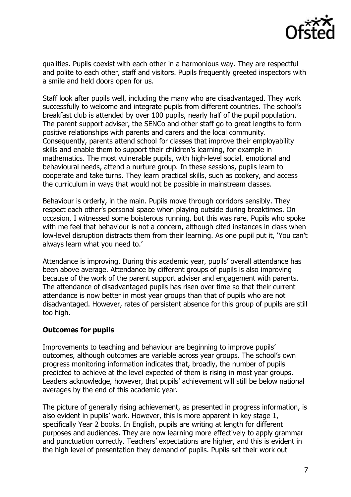

qualities. Pupils coexist with each other in a harmonious way. They are respectful and polite to each other, staff and visitors. Pupils frequently greeted inspectors with a smile and held doors open for us.

Staff look after pupils well, including the many who are disadvantaged. They work successfully to welcome and integrate pupils from different countries. The school's breakfast club is attended by over 100 pupils, nearly half of the pupil population. The parent support adviser, the SENCo and other staff go to great lengths to form positive relationships with parents and carers and the local community. Consequently, parents attend school for classes that improve their employability skills and enable them to support their children's learning, for example in mathematics. The most vulnerable pupils, with high-level social, emotional and behavioural needs, attend a nurture group. In these sessions, pupils learn to cooperate and take turns. They learn practical skills, such as cookery, and access the curriculum in ways that would not be possible in mainstream classes.

Behaviour is orderly, in the main. Pupils move through corridors sensibly. They respect each other's personal space when playing outside during breaktimes. On occasion, I witnessed some boisterous running, but this was rare. Pupils who spoke with me feel that behaviour is not a concern, although cited instances in class when low-level disruption distracts them from their learning. As one pupil put it, 'You can't always learn what you need to.'

Attendance is improving. During this academic year, pupils' overall attendance has been above average. Attendance by different groups of pupils is also improving because of the work of the parent support adviser and engagement with parents. The attendance of disadvantaged pupils has risen over time so that their current attendance is now better in most year groups than that of pupils who are not disadvantaged. However, rates of persistent absence for this group of pupils are still too high.

## **Outcomes for pupils**

Improvements to teaching and behaviour are beginning to improve pupils' outcomes, although outcomes are variable across year groups. The school's own progress monitoring information indicates that, broadly, the number of pupils predicted to achieve at the level expected of them is rising in most year groups. Leaders acknowledge, however, that pupils' achievement will still be below national averages by the end of this academic year.

The picture of generally rising achievement, as presented in progress information, is also evident in pupils' work. However, this is more apparent in key stage 1, specifically Year 2 books. In English, pupils are writing at length for different purposes and audiences. They are now learning more effectively to apply grammar and punctuation correctly. Teachers' expectations are higher, and this is evident in the high level of presentation they demand of pupils. Pupils set their work out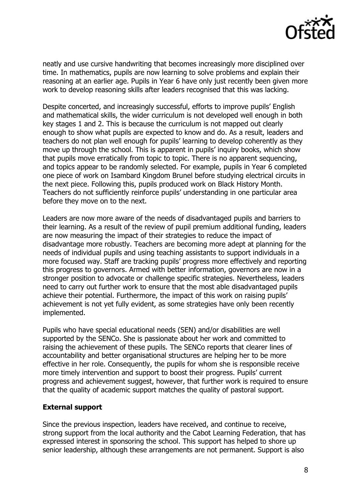

neatly and use cursive handwriting that becomes increasingly more disciplined over time. In mathematics, pupils are now learning to solve problems and explain their reasoning at an earlier age. Pupils in Year 6 have only just recently been given more work to develop reasoning skills after leaders recognised that this was lacking.

Despite concerted, and increasingly successful, efforts to improve pupils' English and mathematical skills, the wider curriculum is not developed well enough in both key stages 1 and 2. This is because the curriculum is not mapped out clearly enough to show what pupils are expected to know and do. As a result, leaders and teachers do not plan well enough for pupils' learning to develop coherently as they move up through the school. This is apparent in pupils' inquiry books, which show that pupils move erratically from topic to topic. There is no apparent sequencing, and topics appear to be randomly selected. For example, pupils in Year 6 completed one piece of work on Isambard Kingdom Brunel before studying electrical circuits in the next piece. Following this, pupils produced work on Black History Month. Teachers do not sufficiently reinforce pupils' understanding in one particular area before they move on to the next.

Leaders are now more aware of the needs of disadvantaged pupils and barriers to their learning. As a result of the review of pupil premium additional funding, leaders are now measuring the impact of their strategies to reduce the impact of disadvantage more robustly. Teachers are becoming more adept at planning for the needs of individual pupils and using teaching assistants to support individuals in a more focused way. Staff are tracking pupils' progress more effectively and reporting this progress to governors. Armed with better information, governors are now in a stronger position to advocate or challenge specific strategies. Nevertheless, leaders need to carry out further work to ensure that the most able disadvantaged pupils achieve their potential. Furthermore, the impact of this work on raising pupils' achievement is not yet fully evident, as some strategies have only been recently implemented.

Pupils who have special educational needs (SEN) and/or disabilities are well supported by the SENCo. She is passionate about her work and committed to raising the achievement of these pupils. The SENCo reports that clearer lines of accountability and better organisational structures are helping her to be more effective in her role. Consequently, the pupils for whom she is responsible receive more timely intervention and support to boost their progress. Pupils' current progress and achievement suggest, however, that further work is required to ensure that the quality of academic support matches the quality of pastoral support.

## **External support**

Since the previous inspection, leaders have received, and continue to receive, strong support from the local authority and the Cabot Learning Federation, that has expressed interest in sponsoring the school. This support has helped to shore up senior leadership, although these arrangements are not permanent. Support is also